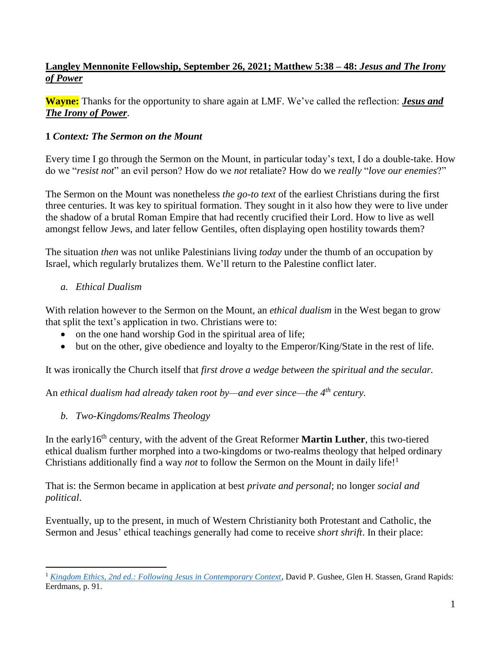# **Langley Mennonite Fellowship, September 26, 2021; Matthew 5:38 – 48:** *Jesus and The Irony of Power*

**Wayne:** Thanks for the opportunity to share again at LMF. We've called the reflection: *Jesus and The Irony of Power*.

## **1** *Context: The Sermon on the Mount*

Every time I go through the Sermon on the Mount, in particular today's text, I do a double-take. How do we "*resist not*" an evil person? How do we *not* retaliate? How do we *really* "*love our enemies*?"

The Sermon on the Mount was nonetheless *the go-to text* of the earliest Christians during the first three centuries. It was key to spiritual formation. They sought in it also how they were to live under the shadow of a brutal Roman Empire that had recently crucified their Lord. How to live as well amongst fellow Jews, and later fellow Gentiles, often displaying open hostility towards them?

The situation *then* was not unlike Palestinians living *today* under the thumb of an occupation by Israel, which regularly brutalizes them. We'll return to the Palestine conflict later.

#### *a. Ethical Dualism*

 $\overline{a}$ 

With relation however to the Sermon on the Mount, an *ethical dualism* in the West began to grow that split the text's application in two. Christians were to:

- on the one hand worship God in the spiritual area of life;
- but on the other, give obedience and loyalty to the Emperor/King/State in the rest of life.

It was ironically the Church itself that *first drove a wedge between the spiritual and the secular.*

An *ethical dualism had already taken root by—and ever since—the 4th century.*

# *b. Two-Kingdoms/Realms Theology*

In the early16th century, with the advent of the Great Reformer **Martin Luther**, this two-tiered ethical dualism further morphed into a two-kingdoms or two-realms theology that helped ordinary Christians additionally find a way *not* to follow the Sermon on the Mount in daily life!<sup>1</sup>

That is: the Sermon became in application at best *private and personal*; no longer *social and political*.

Eventually, up to the present, in much of Western Christianity both Protestant and Catholic, the Sermon and Jesus' ethical teachings generally had come to receive *short shrift*. In their place:

<sup>&</sup>lt;sup>1</sup> [Kingdom Ethics, 2nd ed.: Following Jesus in Contemporary Context](https://www.amazon.ca/Kingdom-Ethics-2nd-ed-Contemporary-ebook/dp/B08W2W3QS7/ref=sr_1_1?dchild=1&keywords=kingdom+ethics&qid=1632694357&s=digital-text&sr=1-1), David P. Gushee, Glen H. Stassen, Grand Rapids: Eerdmans, p. 91.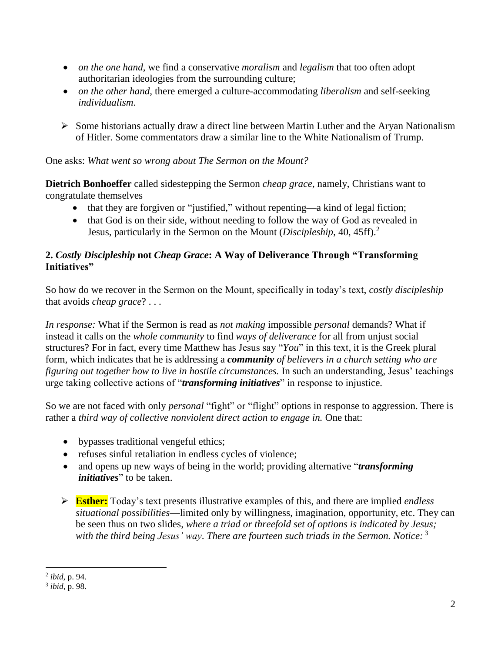- *on the one hand*, we find a conservative *moralism* and *legalism* that too often adopt authoritarian ideologies from the surrounding culture;
- *on the other hand*, there emerged a culture-accommodating *liberalism* and self-seeking *individualism*.
- $\triangleright$  Some historians actually draw a direct line between Martin Luther and the Aryan Nationalism of Hitler. Some commentators draw a similar line to the White Nationalism of Trump.

One asks: *What went so wrong about The Sermon on the Mount?* 

**Dietrich Bonhoeffer** called sidestepping the Sermon *cheap grace*, namely, Christians want to congratulate themselves

- that they are forgiven or "justified," without repenting—a kind of legal fiction;
- that God is on their side, without needing to follow the way of God as revealed in Jesus, particularly in the Sermon on the Mount (*Discipleship*, 40, 45ff).<sup>2</sup>

## **2.** *Costly Discipleship* **not** *Cheap Grace***: A Way of Deliverance Through "Transforming Initiatives"**

So how do we recover in the Sermon on the Mount, specifically in today's text, *costly discipleship* that avoids *cheap grace*? . . .

*In response:* What if the Sermon is read as *not making* impossible *personal* demands? What if instead it calls on the *whole community* to find *ways of deliverance* for all from unjust social structures? For in fact, every time Matthew has Jesus say "*You*" in this text, it is the Greek plural form, which indicates that he is addressing a *community of believers in a church setting who are figuring out together how to live in hostile circumstances.* In such an understanding*,* Jesus' teachings urge taking collective actions of "*transforming initiatives*" in response to injustice.

So we are not faced with only *personal* "fight" or "flight" options in response to aggression. There is rather a *third way of collective nonviolent direct action to engage in.* One that:

- bypasses traditional vengeful ethics;
- refuses sinful retaliation in endless cycles of violence;
- and opens up new ways of being in the world; providing alternative "*transforming initiatives*" to be taken.
- **Esther:** Today's text presents illustrative examples of this, and there are implied *endless situational possibilities*—limited only by willingness, imagination, opportunity, etc. They can be seen thus on two slides, *where a triad or threefold set of options is indicated by Jesus; with the third being Jesus' way*. *There are fourteen such triads in the Sermon. Notice:* 3

 $\overline{a}$ 

<sup>2</sup> *ibid*, p. 94.

<sup>3</sup> *ibid*, p. 98.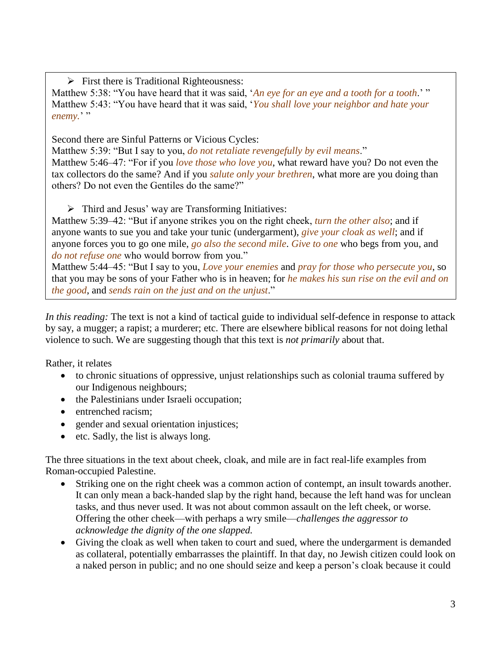$\triangleright$  First there is Traditional Righteousness:

Matthew 5:38: "You have heard that it was said, '*An eye for an eye and a tooth for a tooth*.' " Matthew 5:43: "You have heard that it was said, '*You shall love your neighbor and hate your*  enemy.'"

Second there are Sinful Patterns or Vicious Cycles:

Matthew 5:39: "But I say to you, *do not retaliate revengefully by evil means*." Matthew 5:46–47: "For if you *love those who love you*, what reward have you? Do not even the tax collectors do the same? And if you *salute only your brethren*, what more are you doing than others? Do not even the Gentiles do the same?"

 $\triangleright$  Third and Jesus' way are Transforming Initiatives:

Matthew 5:39–42: "But if anyone strikes you on the right cheek, *turn the other also*; and if anyone wants to sue you and take your tunic (undergarment), *give your cloak as well*; and if anyone forces you to go one mile, *go also the second mile*. *Give to one* who begs from you, and *do not refuse one* who would borrow from you."

Matthew 5:44–45: "But I say to you, *Love your enemies* and *pray for those who persecute you*, so that you may be sons of your Father who is in heaven; for *he makes his sun rise on the evil and on the good*, and *sends rain on the just and on the unjust*."

*In this reading:* The text is not a kind of tactical guide to individual self-defence in response to attack by say, a mugger; a rapist; a murderer; etc. There are elsewhere biblical reasons for not doing lethal violence to such. We are suggesting though that this text is *not primarily* about that.

Rather, it relates

- to chronic situations of oppressive, unjust relationships such as colonial trauma suffered by our Indigenous neighbours;
- the Palestinians under Israeli occupation;
- entrenched racism;
- gender and sexual orientation injustices;
- etc. Sadly, the list is always long.

The three situations in the text about cheek, cloak, and mile are in fact real-life examples from Roman-occupied Palestine.

- Striking one on the right cheek was a common action of contempt, an insult towards another. It can only mean a back-handed slap by the right hand, because the left hand was for unclean tasks, and thus never used. It was not about common assault on the left cheek, or worse. Offering the other cheek—with perhaps a wry smile—*challenges the aggressor to acknowledge the dignity of the one slapped.*
- Giving the cloak as well when taken to court and sued, where the undergarment is demanded as collateral, potentially embarrasses the plaintiff. In that day, no Jewish citizen could look on a naked person in public; and no one should seize and keep a person's cloak because it could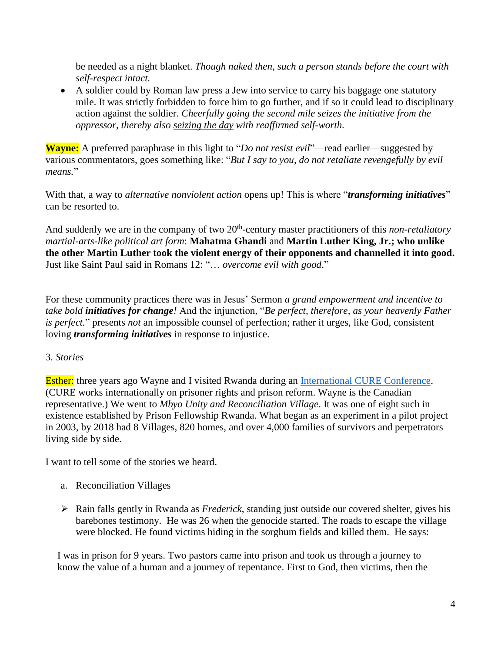be needed as a night blanket. *Though naked then, such a person stands before the court with self-respect intact.*

 A soldier could by Roman law press a Jew into service to carry his baggage one statutory mile. It was strictly forbidden to force him to go further, and if so it could lead to disciplinary action against the soldier. *Cheerfully going the second mile seizes the initiative from the oppressor, thereby also seizing the day with reaffirmed self-worth.*

**Wayne:** A preferred paraphrase in this light to "*Do not resist evil*"—read earlier—suggested by various commentators, goes something like: "*But I say to you, do not retaliate revengefully by evil means.*"

With that, a way to *alternative nonviolent action* opens up! This is where "*transforming initiatives*" can be resorted to.

And suddenly we are in the company of two 20<sup>th</sup>-century master practitioners of this *non-retaliatory martial-arts-like political art form*: **Mahatma Ghandi** and **Martin Luther King, Jr.; who unlike the other Martin Luther took the violent energy of their opponents and channelled it into good.** Just like Saint Paul said in Romans 12: "… *overcome evil with good*."

For these community practices there was in Jesus' Sermon *a grand empowerment and incentive to take bold initiatives for change!* And the injunction, "*Be perfect, therefore, as your heavenly Father is perfect.*" presents *not* an impossible counsel of perfection; rather it urges, like God, consistent loving *transforming initiatives* in response to injustice.

#### 3. *Stories*

Esther: three years ago Wayne and I visited Rwanda during an [International CURE Conference.](http://internationalcure.org/index.php/2018-conference-rwanda) (CURE works internationally on prisoner rights and prison reform. Wayne is the Canadian representative.) We went to *Mbyo Unity and Reconciliation Village*. It was one of eight such in existence established by Prison Fellowship Rwanda. What began as an experiment in a pilot project in 2003, by 2018 had 8 Villages, 820 homes, and over 4,000 families of survivors and perpetrators living side by side.

I want to tell some of the stories we heard.

- a. Reconciliation Villages
- Rain falls gently in Rwanda as *Frederick*, standing just outside our covered shelter, gives his barebones testimony. He was 26 when the genocide started. The roads to escape the village were blocked. He found victims hiding in the sorghum fields and killed them. He says:

I was in prison for 9 years. Two pastors came into prison and took us through a journey to know the value of a human and a journey of repentance. First to God, then victims, then the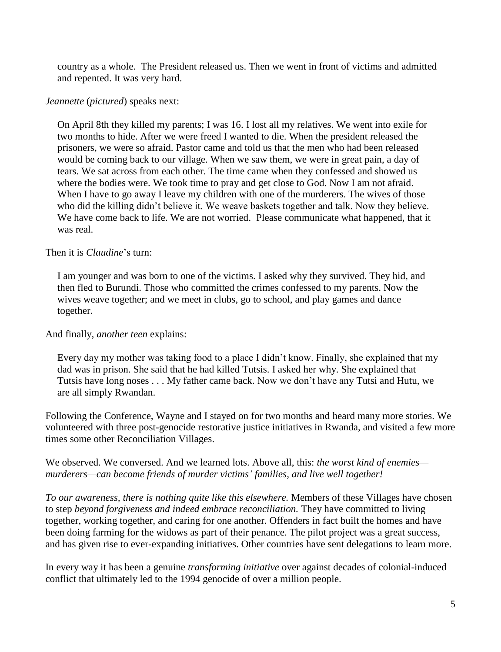country as a whole. The President released us. Then we went in front of victims and admitted and repented. It was very hard.

#### *Jeannette* (*pictured*) speaks next:

On April 8th they killed my parents; I was 16. I lost all my relatives. We went into exile for two months to hide. After we were freed I wanted to die. When the president released the prisoners, we were so afraid. Pastor came and told us that the men who had been released would be coming back to our village. When we saw them, we were in great pain, a day of tears. We sat across from each other. The time came when they confessed and showed us where the bodies were. We took time to pray and get close to God. Now I am not afraid. When I have to go away I leave my children with one of the murderers. The wives of those who did the killing didn't believe it. We weave baskets together and talk. Now they believe. We have come back to life. We are not worried. Please communicate what happened, that it was real.

#### Then it is *Claudine*'s turn:

I am younger and was born to one of the victims. I asked why they survived. They hid, and then fled to Burundi. Those who committed the crimes confessed to my parents. Now the wives weave together; and we meet in clubs, go to school, and play games and dance together.

And finally, *another teen* explains:

Every day my mother was taking food to a place I didn't know. Finally, she explained that my dad was in prison. She said that he had killed Tutsis. I asked her why. She explained that Tutsis have long noses . . . My father came back. Now we don't have any Tutsi and Hutu, we are all simply Rwandan.

Following the Conference, Wayne and I stayed on for two months and heard many more stories. We volunteered with three post-genocide restorative justice initiatives in Rwanda, and visited a few more times some other Reconciliation Villages.

We observed. We conversed. And we learned lots. Above all, this: *the worst kind of enemies murderers—can become friends of murder victims' families, and live well together!*

*To our awareness, there is nothing quite like this elsewhere.* Members of these Villages have chosen to step *beyond forgiveness and indeed embrace reconciliation.* They have committed to living together, working together, and caring for one another. Offenders in fact built the homes and have been doing farming for the widows as part of their penance. The pilot project was a great success, and has given rise to ever-expanding initiatives. Other countries have sent delegations to learn more.

In every way it has been a genuine *transforming initiative* over against decades of colonial-induced conflict that ultimately led to the 1994 genocide of over a million people.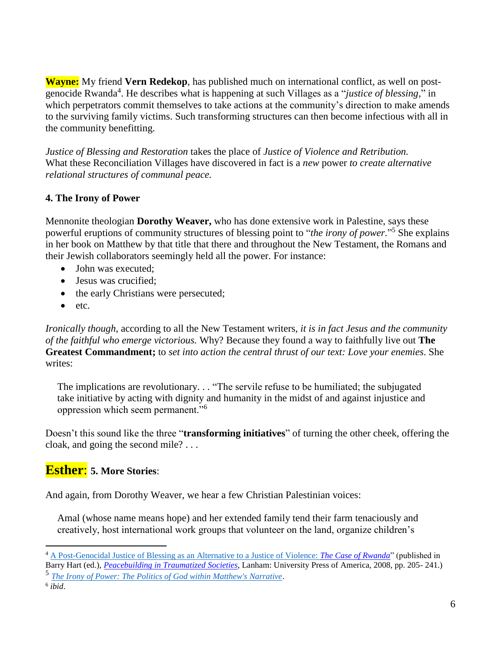**Wayne:** My friend **Vern Redekop**, has published much on international conflict, as well on postgenocide Rwanda<sup>4</sup>. He describes what is happening at such Villages as a "*justice of blessing*," in which perpetrators commit themselves to take actions at the community's direction to make amends to the surviving family victims. Such transforming structures can then become infectious with all in the community benefitting.

*Justice of Blessing and Restoration* takes the place of *Justice of Violence and Retribution.* What these Reconciliation Villages have discovered in fact is a *new* power *to create alternative relational structures of communal peace.*

# **4. The Irony of Power**

Mennonite theologian **Dorothy Weaver,** who has done extensive work in Palestine, says these powerful eruptions of community structures of blessing point to "*the irony of power.*" <sup>5</sup> She explains in her book on Matthew by that title that there and throughout the New Testament, the Romans and their Jewish collaborators seemingly held all the power. For instance:

- John was executed:
- Jesus was crucified;
- the early Christians were persecuted;
- $\bullet$  etc.

*Ironically though*, according to all the New Testament writers, *it is in fact Jesus and the community of the faithful who emerge victorious.* Why? Because they found a way to faithfully live out **The Greatest Commandment;** to *set into action the central thrust of our text: Love your enemies*. She writes:

The implications are revolutionary. . . "The servile refuse to be humiliated; the subjugated take initiative by acting with dignity and humanity in the midst of and against injustice and oppression which seem permanent."<sup>6</sup>

Doesn't this sound like the three "**transforming initiatives**" of turning the other cheek, offering the cloak, and going the second mile? . . .

# **Esther**: **5. More Stories**:

And again, from Dorothy Weaver, we hear a few Christian Palestinian voices:

Amal (whose name means hope) and her extended family tend their farm tenaciously and creatively, host international work groups that volunteer on the land, organize children's

 $\overline{a}$ 

<sup>4</sup> [A Post-Genocidal Justice of Blessing as an Alternative to a Justice of Violence:](https://waynenorthey.com/wp-content/uploads/2018/06/V18-Rwanda-Justice-of-Blessing-Redekop-2.pdf) *The Case of Rwanda*" (published in Barry Hart (ed.), *[Peacebuilding in Traumatized Societies](https://www.amazon.ca/Peacebuilding-Traumatized-Societies-Barry-Hart/dp/0761840354)*, Lanham: University Press of America, 2008, pp. 205- 241.) 5 *[The Irony of Power: The Politics of God within Matthew's Narrative](https://www.amazon.ca/Irony-Power-Politics-Matthews-Narrative/dp/1625648863/ref=sr_1_1?dchild=1&keywords=the+irony+of+power+-+weaver&qid=1631584700&sr=8-1)*.

<sup>6</sup> *ibid*.